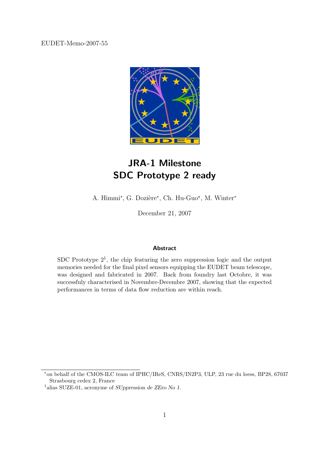EUDET-Memo-2007-55



## JRA-1 Milestone SDC Prototype 2 ready

A. Himmi<sup>\*</sup>, G. Dozière<sup>\*</sup>, Ch. Hu-Guo<sup>\*</sup>, M. Winter<sup>\*</sup>

December 21, 2007

#### Abstract

SDC Prototype  $2<sup>1</sup>$ , the chip featuring the zero suppression logic and the output memories needed for the final pixel sensors equipping the EUDET beam telescope, was designed and fabricated in 2007. Back from foundry last Octobre, it was successfuly characterised in Novembre-Decembre 2007, showing that the expected performances in terms of data flow reduction are within reach.

<sup>∗</sup>on behalf of the CMOS-ILC team of IPHC/IReS, CNRS/IN2P3, ULP, 23 rue du loess, BP28, 67037 Strasbourg cedex 2, France

<sup>1</sup>alias SUZE-01, acronyme of SUppression de ZEro No 1.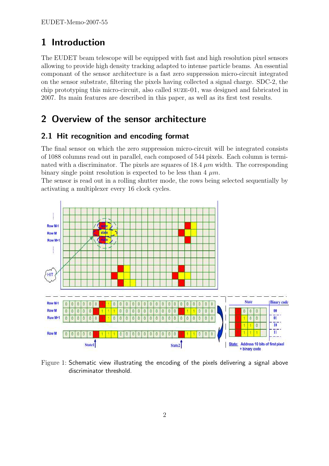## 1 Introduction

The EUDET beam telescope will be equipped with fast and high resolution pixel sensors allowing to provide high density tracking adapted to intense particle beams. An essential componant of the sensor architecture is a fast zero suppression micro-circuit integrated on the sensor substrate, filtering the pixels having collected a signal charge. SDC-2, the chip prototyping this micro-circuit, also called suze-01, was designed and fabricated in 2007. Its main features are described in this paper, as well as its first test results.

## 2 Overview of the sensor architecture

### 2.1 Hit recognition and encoding format

The final sensor on which the zero suppression micro-circuit will be integrated consists of 1088 columns read out in parallel, each composed of 544 pixels. Each column is terminated with a discriminator. The pixels are squares of  $18.4 \mu m$  width. The corresponding binary single point resolution is expected to be less than  $4 \mu m$ .

The sensor is read out in a rolling shutter mode, the rows being selected sequentially by activating a multiplexer every 16 clock cycles.



Figure 1: Schematic view illustrating the encoding of the pixels delivering a signal above discriminator threshold.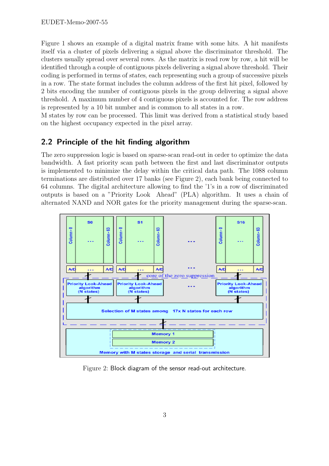Figure 1 shows an example of a digital matrix frame with some hits. A hit manifests itself via a cluster of pixels delivering a signal above the discriminator threshold. The clusters usually spread over several rows. As the matrix is read row by row, a hit will be identified through a couple of contiguous pixels delivering a signal above threshold. Their coding is performed in terms of states, each representing such a group of successive pixels in a row. The state format includes the column address of the first hit pixel, followed by 2 bits encoding the number of contiguous pixels in the group delivering a signal above threshold. A maximum number of 4 contiguous pixels is accounted for. The row address is represented by a 10 bit number and is common to all states in a row.

M states by row can be processed. This limit was derived from a statistical study based on the highest occupancy expected in the pixel array.

### 2.2 Principle of the hit finding algorithm

The zero suppression logic is based on sparse-scan read-out in order to optimize the data bandwidth. A fast priority scan path between the first and last discriminator outputs is implemented to minimize the delay within the critical data path. The 1088 column terminations are distributed over 17 banks (see Figure 2), each bank being connected to 64 columns. The digital architecture allowing to find the '1's in a row of discriminated outputs is based on a "Priority Look Ahead" (PLA) algorithm. It uses a chain of alternated NAND and NOR gates for the priority management during the sparse-scan.



Figure 2: Block diagram of the sensor read-out architecture.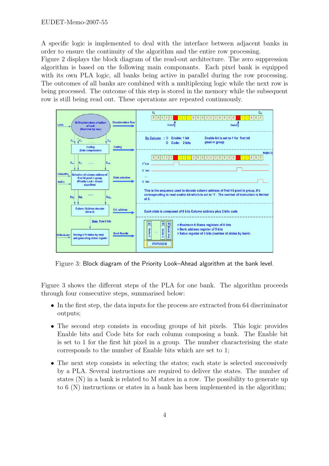A specific logic is implemented to deal with the interface between adjacent banks in order to ensure the continuity of the algorithm and the entire row processing.

Figure 2 displays the block diagram of the read-out architecture. The zero suppression algorithm is based on the following main componants. Each pixel bank is equipped with its own PLA logic, all banks being active in parallel during the row processing. The outcomes of all banks are combined with a multiplexing logic while the next row is being processed. The outcome of this step is stored in the memory while the subsequent row is still being read out. These operations are repeated continuously.



Figure 3: Block diagram of the Priority Look–Ahead algorithm at the bank level.

Figure 3 shows the different steps of the PLA for one bank. The algorithm proceeds through four consecutive steps, summarised below:

- In the first step, the data inputs for the process are extracted from 64 discriminator outputs;
- The second step consists in encoding groups of hit pixels. This logic provides Enable bits and Code bits for each column composing a bank. The Enable bit is set to 1 for the first hit pixel in a group. The number characterising the state corresponds to the number of Enable bits which are set to 1;
- The next step consists in selecting the states; each state is selected successively by a PLA. Several instructions are required to deliver the states. The number of states (N) in a bank is related to M states in a row. The possibility to generate up to 6 (N) instructions or states in a bank has been implemented in the algorithm;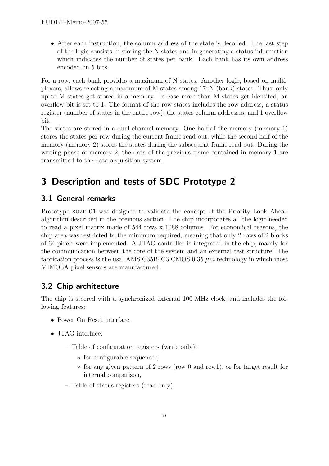• After each instruction, the column address of the state is decoded. The last step of the logic consists in storing the N states and in generating a status information which indicates the number of states per bank. Each bank has its own address encoded on 5 bits.

For a row, each bank provides a maximum of N states. Another logic, based on multiplexers, allows selecting a maximum of M states among 17xN (bank) states. Thus, only up to M states get stored in a memory. In case more than M states get identited, an overflow bit is set to 1. The format of the row states includes the row address, a status register (number of states in the entire row), the states column addresses, and 1 overflow bit.

The states are stored in a dual channel memory. One half of the memory (memory 1) stores the states per row during the current frame read-out, while the second half of the memory (memory 2) stores the states during the subsequent frame read-out. During the writing phase of memory 2, the data of the previous frame contained in memory 1 are transmitted to the data acquisition system.

# 3 Description and tests of SDC Prototype 2

### 3.1 General remarks

Prototype suze-01 was designed to validate the concept of the Priority Look Ahead algorithm described in the previous section. The chip incorporates all the logic needed to read a pixel matrix made of 544 rows x 1088 columns. For economical reasons, the chip area was restricted to the minimum required, meaning that only 2 rows of 2 blocks of 64 pixels were implemented. A JTAG controller is integrated in the chip, mainly for the communication between the core of the system and an external test structure. The fabrication process is the usal AMS C35B4C3 CMOS 0.35  $\mu$ m technology in which most MIMOSA pixel sensors are manufactured.

### 3.2 Chip architecture

The chip is steered with a synchronized external 100 MHz clock, and includes the following features:

- Power On Reset interface;
- JTAG interface:
	- Table of configuration registers (write only):
		- ∗ for configurable sequencer,
		- ∗ for any given pattern of 2 rows (row 0 and row1), or for target result for internal comparison,
	- Table of status registers (read only)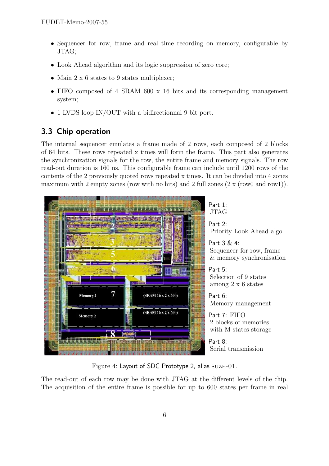- Sequencer for row, frame and real time recording on memory, configurable by JTAG;
- Look Ahead algorithm and its logic suppression of zero core;
- Main 2 x 6 states to 9 states multiplexer;
- FIFO composed of 4 SRAM 600 x 16 bits and its corresponding management system;
- 1 LVDS loop IN/OUT with a bidirectionnal 9 bit port.

### 3.3 Chip operation

The internal sequencer emulates a frame made of 2 rows, each composed of 2 blocks of 64 bits. These rows repeated x times will form the frame. This part also generates the synchronization signals for the row, the entire frame and memory signals. The row read-out duration is 160 ns. This configurable frame can include until 1200 rows of the contents of the 2 previously quoted rows repeated x times. It can be divided into 4 zones maximum with 2 empty zones (row with no hits) and 2 full zones  $(2 \times (row0 and row1)).$ 



Figure 4: Layout of SDC Prototype 2, alias SUZE-01.

The read-out of each row may be done with JTAG at the different levels of the chip. The acquisition of the entire frame is possible for up to 600 states per frame in real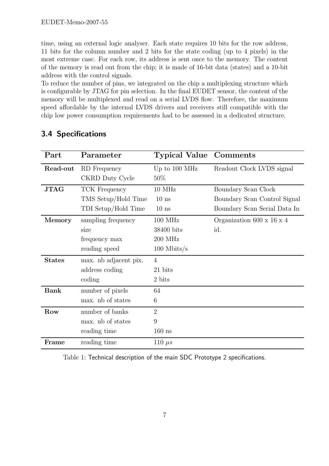time, using an external logic analyser. Each state requires 10 bits for the row address, 11 bits for the column number and 2 bits for the state coding (up to 4 pixels) in the most extreme case. For each row, its address is sent once to the memory. The content of the memory is read out from the chip; it is made of 16-bit data (states) and a 10-bit address with the control signals.

To reduce the number of pins, we integrated on the chip a multiplexing structure which is configurable by JTAG for pin selection. In the final EUDET sensor, the content of the memory will be multiplexed and read on a serial LVDS flow. Therefore, the maximum speed affordable by the internal LVDS drivers and receivers still compatible with the chip low power consumption requirements had to be assessed in a dedicated structure.

| Part                                            | Parameter             | <b>Typical Value</b> | Comments                     |
|-------------------------------------------------|-----------------------|----------------------|------------------------------|
| Read-out                                        | RD Frequency          | Up to 100 MHz        | Readout Clock LVDS signal    |
|                                                 | CKRD Duty Cycle       | $50\%$               |                              |
| <b>JTAG</b>                                     | TCK Frequency         | 10 MHz               | Boundary Scan Clock          |
|                                                 | TMS Setup/Hold Time   | $10$ ns              | Boundary Scan Control Signal |
|                                                 | TDI Setup/Hold Time   | $10$ ns              | Boundary Scan Serial Data In |
| Memory                                          | sampling frequency    | 100 MHz              | Organization 600 x 16 x 4    |
|                                                 | size                  | 38400 bits           | id.                          |
|                                                 | frequency max         | 200 MHz              |                              |
|                                                 | reading speed         | $100$ Mbits/s        |                              |
| <b>States</b>                                   | max. nb adjacent pix. | $\overline{4}$       |                              |
|                                                 | address coding        | 21 bits              |                              |
|                                                 | coding                | 2 bits               |                              |
| <b>Bank</b>                                     | number of pixels      | 64                   |                              |
|                                                 | max. nb of states     | 6                    |                              |
| Row                                             | number of banks       | $\overline{2}$       |                              |
|                                                 | max. nb of states     | 9                    |                              |
|                                                 | reading time          | $160$ ns             |                              |
| $\mathop{\textnormal{\textbf{Frame}}}\nolimits$ | reading time          | 110 $\mu s$          |                              |

### 3.4 Specifications

Table 1: Technical description of the main SDC Prototype 2 specifications.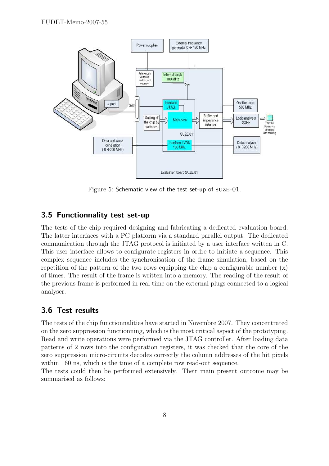

Figure 5: Schematic view of the test set-up of SUZE-01.

#### 3.5 Functionnality test set-up

The tests of the chip required designing and fabricating a dedicated evaluation board. The latter interfaces with a PC platform via a standard parallel output. The dedicated communication through the JTAG protocol is initiated by a user interface written in C. This user interface allows to configurate registers in ordre to initiate a sequence. This complex sequence includes the synchronisation of the frame simulation, based on the repetition of the pattern of the two rows equipping the chip a configurable number  $(x)$ of times. The result of the frame is written into a memory. The reading of the result of the previous frame is performed in real time on the external plugs connected to a logical analyser.

#### 3.6 Test results

The tests of the chip functionnalities have started in Novembre 2007. They concentrated on the zero suppression functionning, which is the most critical aspect of the prototyping. Read and write operations were performed via the JTAG controller. After loading data patterns of 2 rows into the configuration registers, it was checked that the core of the zero suppression micro-circuits decodes correctly the column addresses of the hit pixels within 160 ns, which is the time of a complete row read-out sequence.

The tests could then be performed extensively. Their main present outcome may be summarised as follows: